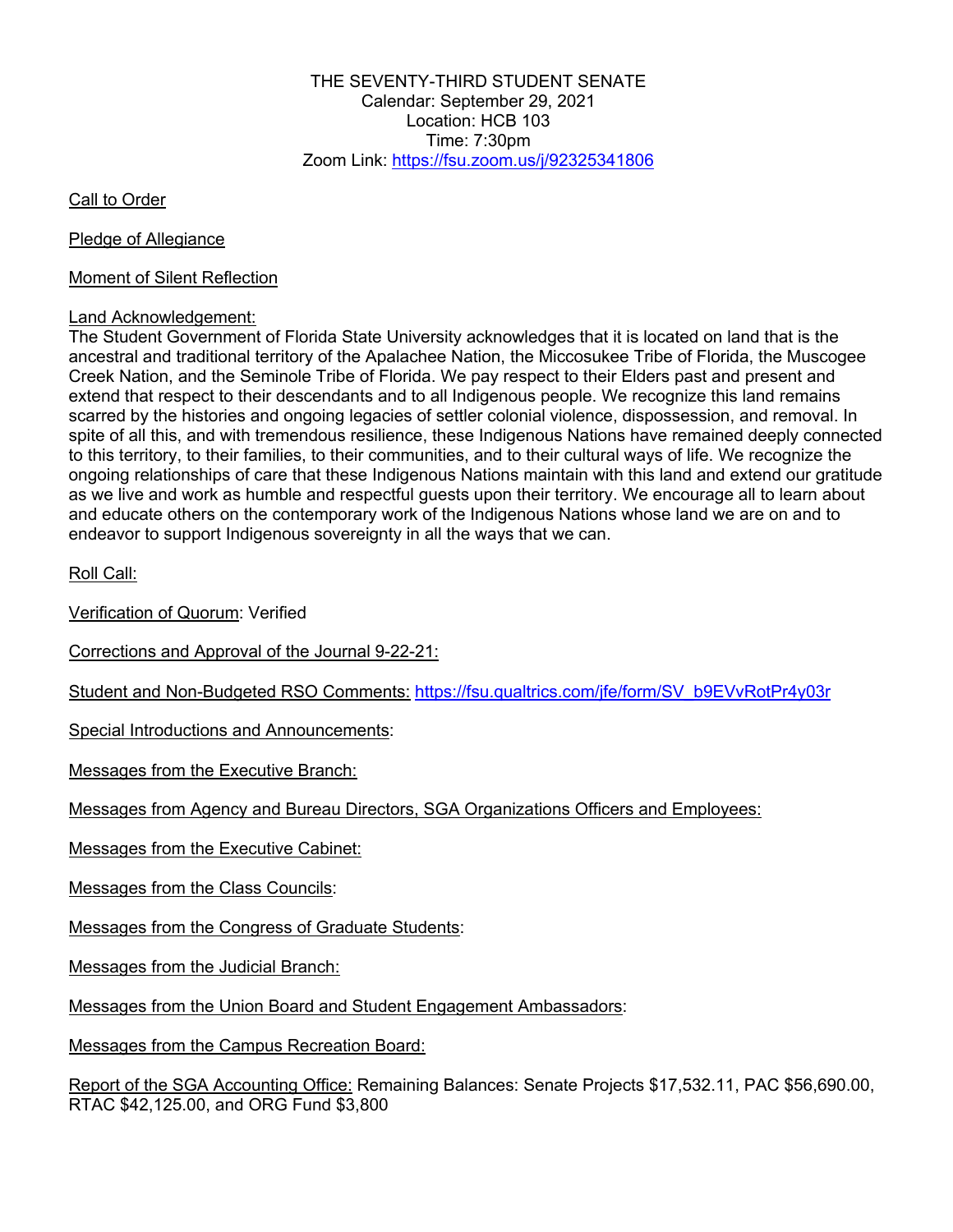THE SEVENTY-THIRD STUDENT SENATE Calendar: September 29, 2021 Location: HCB 103 Time:  $7:30$ pm Zoom Link: https://fsu.zoom.us/j/92325341806

Call to Order

Pledge of Allegiance

Moment of Silent Reflection

## Land Acknowledgement:

The Student Government of Florida State University acknowledges that it is located on land that is the ancestral and traditional territory of the Apalachee Nation, the Miccosukee Tribe of Florida, the Muscogee Creek Nation, and the Seminole Tribe of Florida. We pay respect to their Elders past and present and extend that respect to their descendants and to all Indigenous people. We recognize this land remains scarred by the histories and ongoing legacies of settler colonial violence, dispossession, and removal. In spite of all this, and with tremendous resilience, these Indigenous Nations have remained deeply connected to this territory, to their families, to their communities, and to their cultural ways of life. We recognize the ongoing relationships of care that these Indigenous Nations maintain with this land and extend our gratitude as we live and work as humble and respectful guests upon their territory. We encourage all to learn about and educate others on the contemporary work of the Indigenous Nations whose land we are on and to endeavor to support Indigenous sovereignty in all the ways that we can.

Roll Call:

Verification of Quorum: Verified

Corrections and Approval of the Journal 9-22-21:

Student and Non-Budgeted RSO Comments: https://fsu.qualtrics.com/jfe/form/SV\_b9EVvRotPr4y03r

Special Introductions and Announcements:

Messages from the Executive Branch:

Messages from Agency and Bureau Directors, SGA Organizations Officers and Employees:

Messages from the Executive Cabinet:

Messages from the Class Councils:

Messages from the Congress of Graduate Students:

Messages from the Judicial Branch:

Messages from the Union Board and Student Engagement Ambassadors:

Messages from the Campus Recreation Board:

Report of the SGA Accounting Office: Remaining Balances: Senate Projects \$17,532.11, PAC \$56,690.00, RTAC \$42,125.00, and ORG Fund \$3,800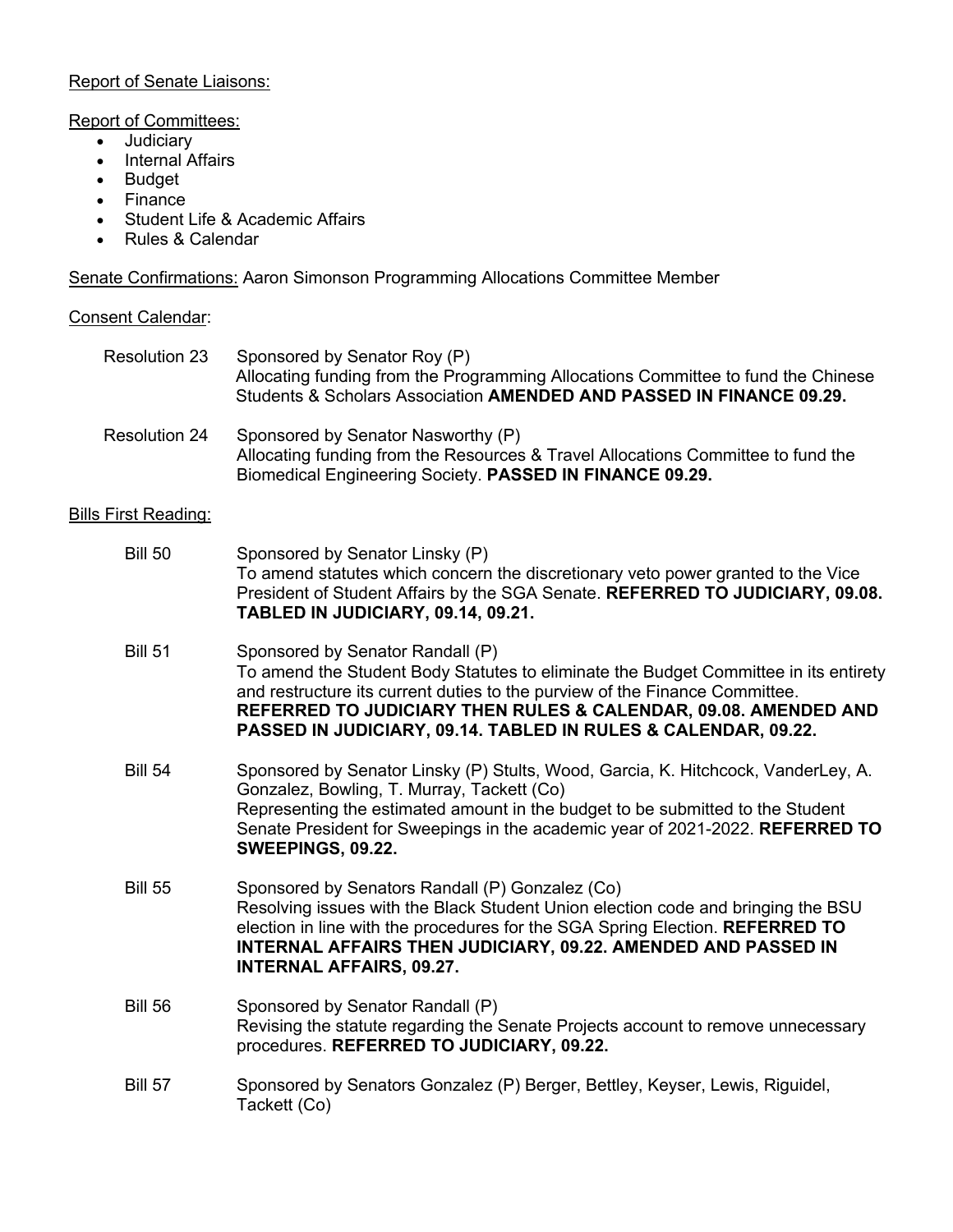## Report of Senate Liaisons:

Report of Committees:

- Judiciary
- Internal Affairs
- Budget
- Finance
- Student Life & Academic Affairs
- Rules & Calendar

Senate Confirmations: Aaron Simonson Programming Allocations Committee Member

Consent Calendar:

| <b>Resolution 23</b>        | Sponsored by Senator Roy (P)<br>Allocating funding from the Programming Allocations Committee to fund the Chinese<br>Students & Scholars Association AMENDED AND PASSED IN FINANCE 09.29.                                                                                                                                                    |
|-----------------------------|----------------------------------------------------------------------------------------------------------------------------------------------------------------------------------------------------------------------------------------------------------------------------------------------------------------------------------------------|
| <b>Resolution 24</b>        | Sponsored by Senator Nasworthy (P)<br>Allocating funding from the Resources & Travel Allocations Committee to fund the<br>Biomedical Engineering Society. PASSED IN FINANCE 09.29.                                                                                                                                                           |
| <b>Bills First Reading:</b> |                                                                                                                                                                                                                                                                                                                                              |
| <b>Bill 50</b>              | Sponsored by Senator Linsky (P)<br>To amend statutes which concern the discretionary veto power granted to the Vice<br>President of Student Affairs by the SGA Senate. REFERRED TO JUDICIARY, 09.08.<br>TABLED IN JUDICIARY, 09.14, 09.21.                                                                                                   |
| <b>Bill 51</b>              | Sponsored by Senator Randall (P)<br>To amend the Student Body Statutes to eliminate the Budget Committee in its entirety<br>and restructure its current duties to the purview of the Finance Committee.<br>REFERRED TO JUDICIARY THEN RULES & CALENDAR, 09.08. AMENDED AND<br>PASSED IN JUDICIARY, 09.14. TABLED IN RULES & CALENDAR, 09.22. |
| <b>Bill 54</b>              | Sponsored by Senator Linsky (P) Stults, Wood, Garcia, K. Hitchcock, VanderLey, A.<br>Gonzalez, Bowling, T. Murray, Tackett (Co)<br>Representing the estimated amount in the budget to be submitted to the Student<br>Senate President for Sweepings in the academic year of 2021-2022. REFERRED TO<br>SWEEPINGS, 09.22.                      |
| <b>Bill 55</b>              | Sponsored by Senators Randall (P) Gonzalez (Co)<br>Resolving issues with the Black Student Union election code and bringing the BSU<br>election in line with the procedures for the SGA Spring Election. REFERRED TO<br>INTERNAL AFFAIRS THEN JUDICIARY, 09.22. AMENDED AND PASSED IN<br><b>INTERNAL AFFAIRS, 09.27.</b>                     |
| <b>Bill 56</b>              | Sponsored by Senator Randall (P)<br>Revising the statute regarding the Senate Projects account to remove unnecessary<br>procedures. REFERRED TO JUDICIARY, 09.22.                                                                                                                                                                            |
| <b>Bill 57</b>              | Sponsored by Senators Gonzalez (P) Berger, Bettley, Keyser, Lewis, Riguidel,<br>Tackett (Co)                                                                                                                                                                                                                                                 |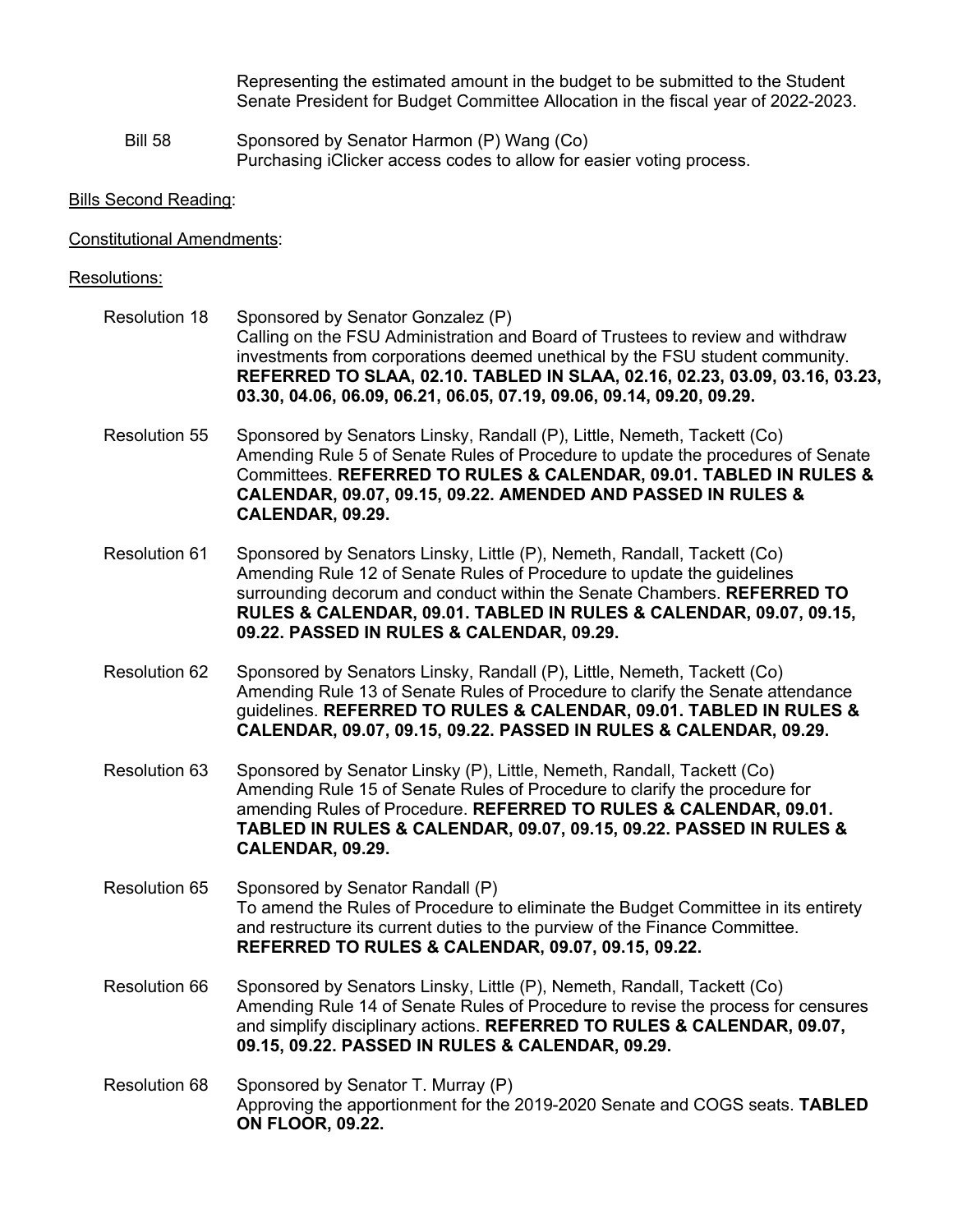Representing the estimated amount in the budget to be submitted to the Student Senate President for Budget Committee Allocation in the fiscal year of 2022-2023.

Bill 58 Sponsored by Senator Harmon (P) Wang (Co) Purchasing iClicker access codes to allow for easier voting process.

Bills Second Reading:

Constitutional Amendments:

## Resolutions:

- Resolution 18 Sponsored by Senator Gonzalez (P) Calling on the FSU Administration and Board of Trustees to review and withdraw investments from corporations deemed unethical by the FSU student community. **REFERRED TO SLAA, 02.10. TABLED IN SLAA, 02.16, 02.23, 03.09, 03.16, 03.23, 03.30, 04.06, 06.09, 06.21, 06.05, 07.19, 09.06, 09.14, 09.20, 09.29.**
- Resolution 55 Sponsored by Senators Linsky, Randall (P), Little, Nemeth, Tackett (Co) Amending Rule 5 of Senate Rules of Procedure to update the procedures of Senate Committees. **REFERRED TO RULES & CALENDAR, 09.01. TABLED IN RULES & CALENDAR, 09.07, 09.15, 09.22. AMENDED AND PASSED IN RULES & CALENDAR, 09.29.**
- Resolution 61 Sponsored by Senators Linsky, Little (P), Nemeth, Randall, Tackett (Co) Amending Rule 12 of Senate Rules of Procedure to update the guidelines surrounding decorum and conduct within the Senate Chambers. **REFERRED TO RULES & CALENDAR, 09.01. TABLED IN RULES & CALENDAR, 09.07, 09.15, 09.22. PASSED IN RULES & CALENDAR, 09.29.**
- Resolution 62 Sponsored by Senators Linsky, Randall (P), Little, Nemeth, Tackett (Co) Amending Rule 13 of Senate Rules of Procedure to clarify the Senate attendance guidelines. **REFERRED TO RULES & CALENDAR, 09.01. TABLED IN RULES & CALENDAR, 09.07, 09.15, 09.22. PASSED IN RULES & CALENDAR, 09.29.**
- Resolution 63 Sponsored by Senator Linsky (P), Little, Nemeth, Randall, Tackett (Co) Amending Rule 15 of Senate Rules of Procedure to clarify the procedure for amending Rules of Procedure. **REFERRED TO RULES & CALENDAR, 09.01. TABLED IN RULES & CALENDAR, 09.07, 09.15, 09.22. PASSED IN RULES & CALENDAR, 09.29.**
- Resolution 65 Sponsored by Senator Randall (P) To amend the Rules of Procedure to eliminate the Budget Committee in its entirety and restructure its current duties to the purview of the Finance Committee. **REFERRED TO RULES & CALENDAR, 09.07, 09.15, 09.22.**
- Resolution 66 Sponsored by Senators Linsky, Little (P), Nemeth, Randall, Tackett (Co) Amending Rule 14 of Senate Rules of Procedure to revise the process for censures and simplify disciplinary actions. **REFERRED TO RULES & CALENDAR, 09.07, 09.15, 09.22. PASSED IN RULES & CALENDAR, 09.29.**
- Resolution 68 Sponsored by Senator T. Murray (P) Approving the apportionment for the 2019-2020 Senate and COGS seats. **TABLED ON FLOOR, 09.22.**